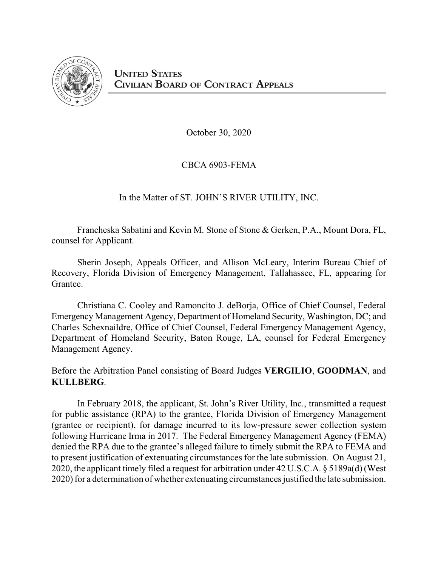

October 30, 2020

CBCA 6903-FEMA

In the Matter of ST. JOHN'S RIVER UTILITY, INC.

Francheska Sabatini and Kevin M. Stone of Stone & Gerken, P.A., Mount Dora, FL, counsel for Applicant.

Sherin Joseph, Appeals Officer, and Allison McLeary, Interim Bureau Chief of Recovery, Florida Division of Emergency Management, Tallahassee, FL, appearing for Grantee.

Christiana C. Cooley and Ramoncito J. deBorja, Office of Chief Counsel, Federal Emergency Management Agency, Department of Homeland Security, Washington, DC; and Charles Schexnaildre, Office of Chief Counsel, Federal Emergency Management Agency, Department of Homeland Security, Baton Rouge, LA, counsel for Federal Emergency Management Agency.

Before the Arbitration Panel consisting of Board Judges **VERGILIO**, **GOODMAN**, and **KULLBERG**.

In February 2018, the applicant, St. John's River Utility, Inc., transmitted a request for public assistance (RPA) to the grantee, Florida Division of Emergency Management (grantee or recipient), for damage incurred to its low-pressure sewer collection system following Hurricane Irma in 2017. The Federal Emergency Management Agency (FEMA) denied the RPA due to the grantee's alleged failure to timely submit the RPA to FEMA and to present justification of extenuating circumstances for the late submission. On August 21, 2020, the applicant timely filed a request for arbitration under 42 U.S.C.A. § 5189a(d) (West 2020) for a determination of whether extenuating circumstances justified the late submission.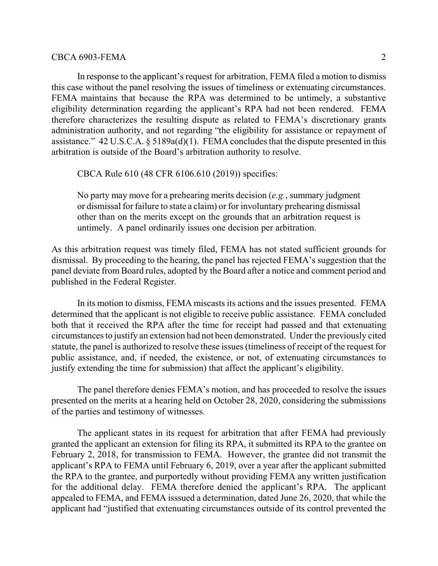In response to the applicant's request for arbitration, FEMA filed a motion to dismiss this case without the panel resolving the issues of timeliness or extenuating circumstances. FEMA maintains that because the RPA was determined to be untimely, a substantive eligibility determination regarding the applicant's RPA had not been rendered. FEMA therefore characterizes the resulting dispute as related to FEMA's discretionary grants administration authority, and not regarding "the eligibility for assistance or repayment of assistance."  $42 \text{ U.S.C.A. }$ §  $5189a(d)(1)$ . FEMA concludes that the dispute presented in this arbitration is outside of the Board's arbitration authority to resolve.

CBCA Rule 610 (48 CFR 6106.610 (2019)) specifies:

No party may move for a prehearing merits decision (*e.g.*, summary judgment or dismissal for failure to state a claim) or for involuntary prehearing dismissal other than on the merits except on the grounds that an arbitration request is untimely. A panel ordinarily issues one decision per arbitration.

As this arbitration request was timely filed, FEMA has not stated sufficient grounds for dismissal. By proceeding to the hearing, the panel has rejected FEMA's suggestion that the panel deviate from Board rules, adopted by the Board after a notice and comment period and published in the Federal Register.

In its motion to dismiss, FEMA miscasts its actions and the issues presented. FEMA determined that the applicant is not eligible to receive public assistance. FEMA concluded both that it received the RPA after the time for receipt had passed and that extenuating circumstances to justify an extension had not been demonstrated. Under the previously cited statute, the panel is authorized to resolve these issues (timeliness of receipt of the request for public assistance, and, if needed, the existence, or not, of extenuating circumstances to justify extending the time for submission) that affect the applicant's eligibility.

The panel therefore denies FEMA's motion, and has proceeded to resolve the issues presented on the merits at a hearing held on October 28, 2020, considering the submissions of the parties and testimony of witnesses.

The applicant states in its request for arbitration that after FEMA had previously granted the applicant an extension for filing its RPA, it submitted its RPA to the grantee on February 2, 2018, for transmission to FEMA. However, the grantee did not transmit the applicant's RPA to FEMA until February 6, 2019, over a year after the applicant submitted the RPA to the grantee, and purportedly without providing FEMA any written justification for the additional delay. FEMA therefore denied the applicant's RPA. The applicant appealed to FEMA, and FEMA isssued a determination, dated June 26, 2020, that while the applicant had "justified that extenuating circumstances outside of its control prevented the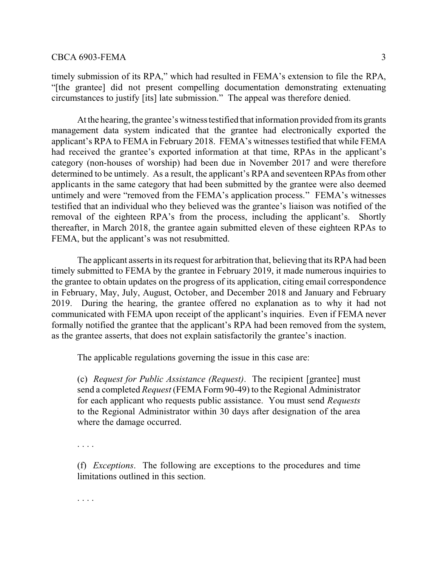## CBCA 6903-FEMA 3

timely submission of its RPA," which had resulted in FEMA's extension to file the RPA, "[the grantee] did not present compelling documentation demonstrating extenuating circumstances to justify [its] late submission." The appeal was therefore denied.

At the hearing, the grantee's witness testified that information provided from its grants management data system indicated that the grantee had electronically exported the applicant's RPA to FEMA in February 2018. FEMA's witnesses testified that while FEMA had received the grantee's exported information at that time, RPAs in the applicant's category (non-houses of worship) had been due in November 2017 and were therefore determined to be untimely. As a result, the applicant's RPA and seventeen RPAs from other applicants in the same category that had been submitted by the grantee were also deemed untimely and were "removed from the FEMA's application process." FEMA's witnesses testified that an individual who they believed was the grantee's liaison was notified of the removal of the eighteen RPA's from the process, including the applicant's. Shortly thereafter, in March 2018, the grantee again submitted eleven of these eighteen RPAs to FEMA, but the applicant's was not resubmitted.

The applicant asserts in its request for arbitration that, believing that its RPA had been timely submitted to FEMA by the grantee in February 2019, it made numerous inquiries to the grantee to obtain updates on the progress of its application, citing email correspondence in February, May, July, August, October, and December 2018 and January and February 2019. During the hearing, the grantee offered no explanation as to why it had not communicated with FEMA upon receipt of the applicant's inquiries. Even if FEMA never formally notified the grantee that the applicant's RPA had been removed from the system, as the grantee asserts, that does not explain satisfactorily the grantee's inaction.

The applicable regulations governing the issue in this case are:

(c) *Request for Public Assistance (Request)*. The recipient [grantee] must send a completed *Request* (FEMA Form 90-49) to the Regional Administrator for each applicant who requests public assistance. You must send *Requests* to the Regional Administrator within 30 days after designation of the area where the damage occurred.

. . . .

. . . .

(f) *Exceptions*. The following are exceptions to the procedures and time limitations outlined in this section.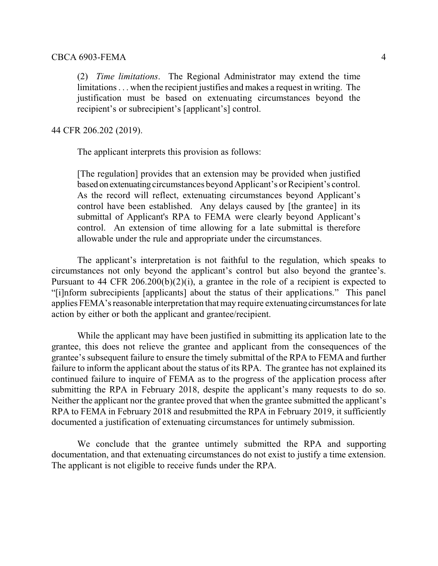(2) *Time limitations*. The Regional Administrator may extend the time limitations . . . when the recipient justifies and makes a request in writing. The justification must be based on extenuating circumstances beyond the recipient's or subrecipient's [applicant's] control.

## 44 CFR 206.202 (2019).

The applicant interprets this provision as follows:

[The regulation] provides that an extension may be provided when justified based on extenuating circumstances beyond Applicant's or Recipient's control. As the record will reflect, extenuating circumstances beyond Applicant's control have been established. Any delays caused by [the grantee] in its submittal of Applicant's RPA to FEMA were clearly beyond Applicant's control. An extension of time allowing for a late submittal is therefore allowable under the rule and appropriate under the circumstances.

The applicant's interpretation is not faithful to the regulation, which speaks to circumstances not only beyond the applicant's control but also beyond the grantee's. Pursuant to 44 CFR 206.200(b)(2)(i), a grantee in the role of a recipient is expected to "[i]nform subrecipients [applicants] about the status of their applications." This panel applies FEMA's reasonable interpretation that may require extenuatingcircumstances for late action by either or both the applicant and grantee/recipient.

While the applicant may have been justified in submitting its application late to the grantee, this does not relieve the grantee and applicant from the consequences of the grantee's subsequent failure to ensure the timely submittal of the RPA to FEMA and further failure to inform the applicant about the status of its RPA. The grantee has not explained its continued failure to inquire of FEMA as to the progress of the application process after submitting the RPA in February 2018, despite the applicant's many requests to do so. Neither the applicant nor the grantee proved that when the grantee submitted the applicant's RPA to FEMA in February 2018 and resubmitted the RPA in February 2019, it sufficiently documented a justification of extenuating circumstances for untimely submission.

We conclude that the grantee untimely submitted the RPA and supporting documentation, and that extenuating circumstances do not exist to justify a time extension. The applicant is not eligible to receive funds under the RPA.